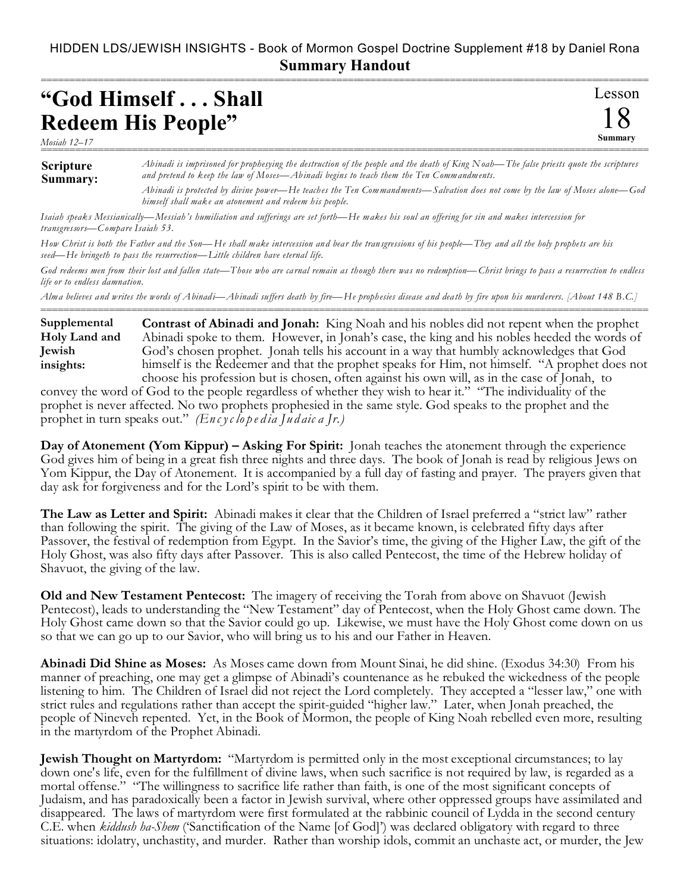## HIDDEN LDS/JEWISH INSIGHTS - Book of Mormon Gospel Doctrine Supplement #18 by Daniel Rona **Summary Handout**

## **"God Himself . . . Shall Redeem His People"**

*Mosiah 12–17*

## **Scripture Summary:** *Abinadi is imprisoned for prophesying the destruction of the people and the death of King Noah—The false priests quote the scriptures and pretend to keep the law of Moses—Abinadi begins to teach them the Ten Commandments. Abinadi is protected by divine power—He teaches the Ten Commandments—Salvation does not come by the law of Moses alone—God himself shall make an atonement and redeem his people.*

===========================================================================================================

*Isaiah speaks Messianically—Messiah's humiliation and sufferings are set forth—He makes his soul an offering for sin and makes intercession for transgressors—Compare Isaiah 53.*

*How Christ is both the Father and the Son—He shall make intercession and bear the transgressions of his people—They and all the holy prophets are his seed—He bringeth to pass the resurrection—Little children have eternal life.*

*God redeems men from their lost and fallen state—Those who are carnal remain as though there was no redemption—Christ brings to pass a resurrection to endless life or to endless damnation.*

*Alma believes and writes the words of Abinadi—Abinadi suffers death by fire—He prophesies disease and death by fire upon his murd erers. [About 148 B.C.]*

=========================================================================================================== **Contrast of Abinadi and Jonah:** King Noah and his nobles did not repent when the prophet Abinadi spoke to them. However, in Jonah's case, the king and his nobles heeded the words of God's chosen prophet. Jonah tells his account in a way that humbly acknowledges that God himself is the Redeemer and that the prophet speaks for Him, not himself. "A prophet does not choose his profession but is chosen, often against his own will, as in the case of Jonah, to **Supplemental Holy Land and Jewish insights:**

convey the word of God to the people regardless of whether they wish to hear it." "The individuality of the prophet is never affected. No two prophets prophesied in the same style. God speaks to the prophet and the prophet in turn speaks out." *(En c yc lo p e d ia Ju d aic a Jr.)*

**Day of Atonement (Yom Kippur) – Asking For Spirit:** Jonah teaches the atonement through the experience God gives him of being in a great fish three nights and three days. The book of Jonah is read by religious Jews on Yom Kippur, the Day of Atonement. It is accompanied by a full day of fasting and prayer. The prayers given that day ask for forgiveness and for the Lord's spirit to be with them.

**The Law as Letter and Spirit:** Abinadi makes it clear that the Children of Israel preferred a "strict law" rather than following the spirit. The giving of the Law of Moses, as it became known, is celebrated fifty days after Passover, the festival of redemption from Egypt. In the Savior's time, the giving of the Higher Law, the gift of the Holy Ghost, was also fifty days after Passover. This is also called Pentecost, the time of the Hebrew holiday of Shavuot, the giving of the law.

**Old and New Testament Pentecost:** The imagery of receiving the Torah from above on Shavuot (Jewish Pentecost), leads to understanding the "New Testament" day of Pentecost, when the Holy Ghost came down. The Holy Ghost came down so that the Savior could go up. Likewise, we must have the Holy Ghost come down on us so that we can go up to our Savior, who will bring us to his and our Father in Heaven.

**Abinadi Did Shine as Moses:** As Moses came down from Mount Sinai, he did shine. (Exodus 34:30) From his manner of preaching, one may get a glimpse of Abinadi's countenance as he rebuked the wickedness of the people listening to him. The Children of Israel did not reject the Lord completely. They accepted a "lesser law," one with strict rules and regulations rather than accept the spirit-guided "higher law." Later, when Jonah preached, the people of Nineveh repented. Yet, in the Book of Mormon, the people of King Noah rebelled even more, resulting in the martyrdom of the Prophet Abinadi.

**Jewish Thought on Martyrdom:** "Martyrdom is permitted only in the most exceptional circumstances; to lay down one's life, even for the fulfillment of divine laws, when such sacrifice is not required by law, is regarded as a mortal offense." "The willingness to sacrifice life rather than faith, is one of the most significant concepts of Judaism, and has paradoxically been a factor in Jewish survival, where other oppressed groups have assimilated and disappeared. The laws of martyrdom were first formulated at the rabbinic council of Lydda in the second century C.E. when *kiddush ha-Shem* ('Sanctification of the Name [of God]') was declared obligatory with regard to three situations: idolatry, unchastity, and murder. Rather than worship idols, commit an unchaste act, or murder, the Jew